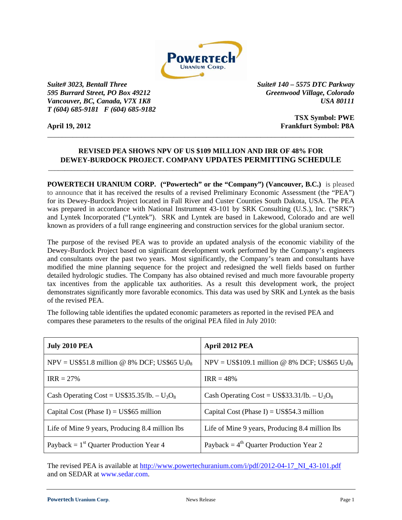

*Suite# 3023, Bentall Three Suite# 140 – 5575 DTC Parkway 595 Burrard Street, PO Box 49212 Greenwood Village, Colorado Vancouver, BC, Canada, V7X 1K8* USA 80111 *T (604) 685-9181 F (604) 685-9182*

**TSX Symbol: PWE April 19, 2012 Frankfurt Symbol: P8A** 

## \_\_\_\_\_\_\_\_\_\_\_\_\_\_\_\_\_\_\_\_\_\_\_\_\_\_\_\_\_\_\_\_\_\_\_\_\_\_\_\_\_\_\_\_\_\_\_\_\_\_\_\_\_\_\_\_\_\_\_\_\_\_\_\_\_\_\_\_\_\_\_\_\_\_\_\_\_\_\_\_\_\_\_\_\_

## **REVISED PEA SHOWS NPV OF US \$109 MILLION AND IRR OF 48% FOR DEWEY-BURDOCK PROJECT. COMPANY UPDATES PERMITTING SCHEDULE** \_\_\_\_\_\_\_\_\_\_\_\_\_\_\_\_\_\_\_\_\_\_\_\_\_\_\_\_\_\_\_\_\_\_\_\_\_\_\_\_\_\_\_\_\_\_\_\_\_\_\_\_\_\_\_\_\_\_\_\_\_\_\_\_\_\_\_\_\_\_\_\_\_\_\_\_\_\_\_\_\_\_\_\_\_\_\_\_\_\_\_\_\_

**POWERTECH URANIUM CORP.** ("Powertech" or the "Company") (Vancouver, B.C.) is pleased to announce that it has received the results of a revised Preliminary Economic Assessment (the "PEA") for its Dewey-Burdock Project located in Fall River and Custer Counties South Dakota, USA. The PEA was prepared in accordance with National Instrument 43-101 by SRK Consulting (U.S.), Inc. ("SRK") and Lyntek Incorporated ("Lyntek"). SRK and Lyntek are based in Lakewood, Colorado and are well known as providers of a full range engineering and construction services for the global uranium sector.

The purpose of the revised PEA was to provide an updated analysis of the economic viability of the Dewey-Burdock Project based on significant development work performed by the Company's engineers and consultants over the past two years. Most significantly, the Company's team and consultants have modified the mine planning sequence for the project and redesigned the well fields based on further detailed hydrologic studies. The Company has also obtained revised and much more favourable property tax incentives from the applicable tax authorities. As a result this development work, the project demonstrates significantly more favorable economics. This data was used by SRK and Lyntek as the basis of the revised PEA.

The following table identifies the updated economic parameters as reported in the revised PEA and compares these parameters to the results of the original PEA filed in July 2010:

| <b>July 2010 PEA</b>                             | April 2012 PEA                                                         |
|--------------------------------------------------|------------------------------------------------------------------------|
| NPV = US\$51.8 million @ 8% DCF; US\$65 $U_3O_8$ | NPV = US\$109.1 million @ 8% DCF; US\$65 U <sub>3</sub> 0 <sub>8</sub> |
| $IRR = 27%$                                      | $IRR = 48\%$                                                           |
| Cash Operating Cost = $US$35.35/lb. - U_3O_8$    | Cash Operating Cost = $US$33.31/lb. - U_3O_8$                          |
| Capital Cost (Phase I) = $US$65$ million         | Capital Cost (Phase I) = $US$54.3$ million                             |
| Life of Mine 9 years, Producing 8.4 million lbs  | Life of Mine 9 years, Producing 8.4 million lbs                        |
| Payback = $1st$ Quarter Production Year 4        | Payback = $4^{th}$ Quarter Production Year 2                           |

The revised PEA is available at http://www.powertechuranium.com/i/pdf/2012-04-17\_NI\_43-101.pdf and on SEDAR at www.sedar.com.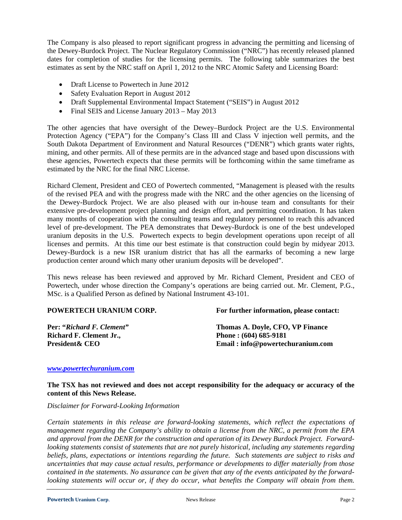The Company is also pleased to report significant progress in advancing the permitting and licensing of the Dewey-Burdock Project. The Nuclear Regulatory Commission ("NRC") has recently released planned dates for completion of studies for the licensing permits. The following table summarizes the best estimates as sent by the NRC staff on April 1, 2012 to the NRC Atomic Safety and Licensing Board:

- Draft License to Powertech in June 2012
- Safety Evaluation Report in August 2012
- Draft Supplemental Environmental Impact Statement ("SEIS") in August 2012
- Final SEIS and License January 2013 May 2013

The other agencies that have oversight of the Dewey–Burdock Project are the U.S. Environmental Protection Agency ("EPA") for the Company's Class III and Class V injection well permits, and the South Dakota Department of Environment and Natural Resources ("DENR") which grants water rights, mining, and other permits. All of these permits are in the advanced stage and based upon discussions with these agencies, Powertech expects that these permits will be forthcoming within the same timeframe as estimated by the NRC for the final NRC License.

Richard Clement, President and CEO of Powertech commented, "Management is pleased with the results of the revised PEA and with the progress made with the NRC and the other agencies on the licensing of the Dewey-Burdock Project. We are also pleased with our in-house team and consultants for their extensive pre-development project planning and design effort, and permitting coordination. It has taken many months of cooperation with the consulting teams and regulatory personnel to reach this advanced level of pre-development. The PEA demonstrates that Dewey-Burdock is one of the best undeveloped uranium deposits in the U.S. Powertech expects to begin development operations upon receipt of all licenses and permits. At this time our best estimate is that construction could begin by midyear 2013. Dewey-Burdock is a new ISR uranium district that has all the earmarks of becoming a new large production center around which many other uranium deposits will be developed".

This news release has been reviewed and approved by Mr. Richard Clement, President and CEO of Powertech, under whose direction the Company's operations are being carried out. Mr. Clement, P.G., MSc. is a Qualified Person as defined by National Instrument 43-101.

## **POWERTECH URANIUM CORP.**

**Per: "***Richard F. Clement"* **Richard F. Clement Jr., President& CEO** 

 **For further information, please contact:** 

**Thomas A. Doyle, CFO, VP Finance Phone : (604) 685-9181 Email : info@powertechuranium.com** 

## *www.powertechuranium.com*

**The TSX has not reviewed and does not accept responsibility for the adequacy or accuracy of the content of this News Release.** 

*Disclaimer for Forward-Looking Information* 

*Certain statements in this release are forward-looking statements, which reflect the expectations of management regarding the Company's ability to obtain a license from the NRC, a permit from the EPA and approval from the DENR for the construction and operation of its Dewey Burdock Project. Forwardlooking statements consist of statements that are not purely historical, including any statements regarding beliefs, plans, expectations or intentions regarding the future. Such statements are subject to risks and uncertainties that may cause actual results, performance or developments to differ materially from those contained in the statements. No assurance can be given that any of the events anticipated by the forwardlooking statements will occur or, if they do occur, what benefits the Company will obtain from them.*